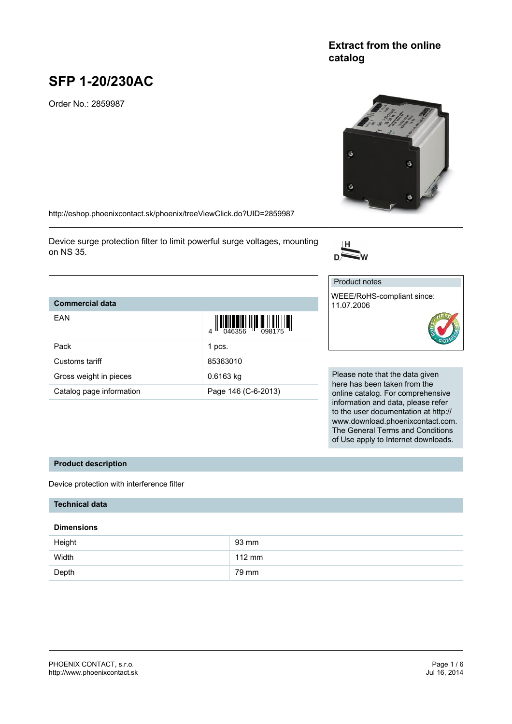# **Extract from the online catalog**

# **SFP 1-20/230AC**

Order No.: 2859987

<http://eshop.phoenixcontact.sk/phoenix/treeViewClick.do?UID=2859987>

Device surge protection filter to limit powerful surge voltages, mounting on NS 35.



Product notes

| <b>Commercial data</b>   |                                                                                                                                                                                                                                                                                                                                                                                                                                                                                    | WEEE/RoHS-compliant since:<br>11.07.2006                      |
|--------------------------|------------------------------------------------------------------------------------------------------------------------------------------------------------------------------------------------------------------------------------------------------------------------------------------------------------------------------------------------------------------------------------------------------------------------------------------------------------------------------------|---------------------------------------------------------------|
| <b>EAN</b>               | $\left\  \left[ \left[ \left[ \begin{array}{c} 0 & 0 \\ 0 & 0 \end{array} \right] \right] \right] \right\  = \left\  \left[ \left[ \begin{array}{c} 0 & 0 \\ 0 & 0 \end{array} \right] \right] \right\  = \left\  \left[ \begin{array}{c} 0 & 0 \\ 0 & 0 \end{array} \right] \right\  = \left\  \left[ \begin{array}{c} 0 & 0 \\ 0 & 0 \end{array} \right] \right\  = \left\  \left[ \begin{array}{c} 0 & 0 \\ 0 & 0 \end{array} \right] \right\  = \left\  \left[ \begin{array}{$ | RoH.                                                          |
| Pack                     | 1 pcs.                                                                                                                                                                                                                                                                                                                                                                                                                                                                             |                                                               |
| Customs tariff           | 85363010                                                                                                                                                                                                                                                                                                                                                                                                                                                                           |                                                               |
| Gross weight in pieces   | $0.6163$ kg                                                                                                                                                                                                                                                                                                                                                                                                                                                                        | Please note that the data give                                |
| Catalog page information | Page 146 (C-6-2013)                                                                                                                                                                                                                                                                                                                                                                                                                                                                | here has been taken from the<br>online catalog. For comprehen |
|                          |                                                                                                                                                                                                                                                                                                                                                                                                                                                                                    |                                                               |

t the data given aken from the For comprehensive information and data, please refer to the user documentation at http:// www.download.phoenixcontact.com. The General Terms and Conditions of Use apply to Internet downloads.

### **Product description**

Device protection with interference filter

# **Technical data**

### **Dimensions**

| Height | 93 mm            |
|--------|------------------|
| Width  | $112 \text{ mm}$ |
| Depth  | 79 mm            |

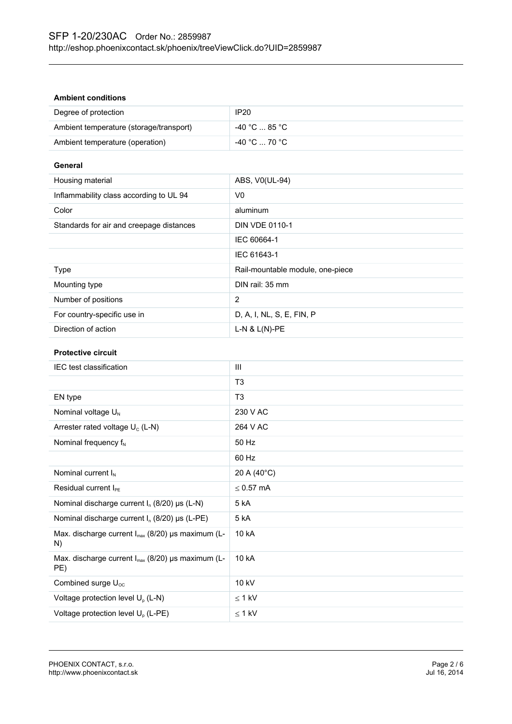### **Ambient conditions**

| Degree of protection                    | IP <sub>20</sub>                 |
|-----------------------------------------|----------------------------------|
| Ambient temperature (storage/transport) | -40 °C  85 °C                    |
| Ambient temperature (operation)         | $-40\degree$ C  70 $\degree$ C . |

### **General**

| Housing material                         | ABS, V0(UL-94)                   |
|------------------------------------------|----------------------------------|
| Inflammability class according to UL 94  | V <sub>0</sub>                   |
| Color                                    | aluminum                         |
| Standards for air and creepage distances | <b>DIN VDE 0110-1</b>            |
|                                          | IEC 60664-1                      |
|                                          | IEC 61643-1                      |
| Type                                     | Rail-mountable module, one-piece |
| Mounting type                            | DIN rail: 35 mm                  |
| Number of positions                      | 2                                |
| For country-specific use in              | D, A, I, NL, S, E, FIN, P        |
| Direction of action                      | $L-N$ & $L(N)$ -PE               |

### **Protective circuit**

| <b>IEC</b> test classification                                | Ш              |
|---------------------------------------------------------------|----------------|
|                                                               | T <sub>3</sub> |
| EN type                                                       | T <sub>3</sub> |
| Nominal voltage $U_N$                                         | 230 V AC       |
| Arrester rated voltage $U_c$ (L-N)                            | 264 V AC       |
| Nominal frequency $f_N$                                       | 50 Hz          |
|                                                               | 60 Hz          |
| Nominal current $I_N$                                         | 20 A (40°C)    |
| Residual current $I_{\text{PE}}$                              | $\leq 0.57$ mA |
| Nominal discharge current $I_n$ (8/20) $\mu s$ (L-N)          | 5 kA           |
| Nominal discharge current $I_n$ (8/20) µs (L-PE)              | 5 kA           |
| Max. discharge current $I_{max}$ (8/20) µs maximum (L-<br>N)  | 10 kA          |
| Max. discharge current $I_{max}$ (8/20) µs maximum (L-<br>PE) | 10 kA          |
| Combined surge $U_{\text{oc}}$                                | 10 kV          |
| Voltage protection level $U_p$ (L-N)                          | $\leq 1$ kV    |
| Voltage protection level U <sub>p</sub> (L-PE)                | $\leq$ 1 kV    |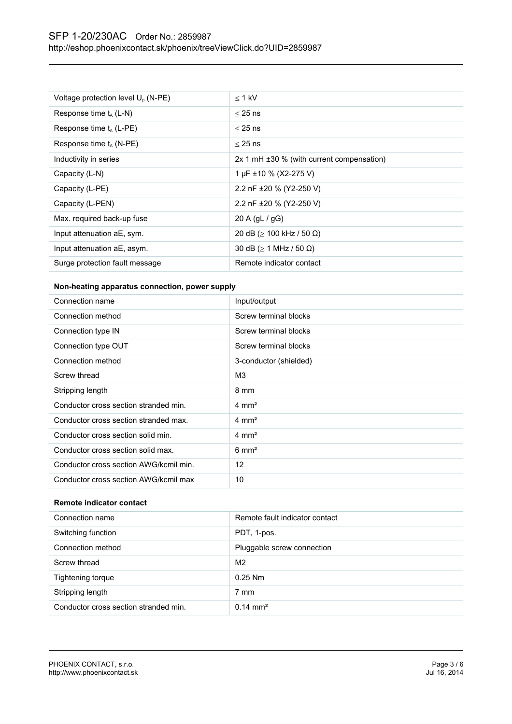| Voltage protection level U <sub>p</sub> (N-PE) | $<$ 1 kV                                         |
|------------------------------------------------|--------------------------------------------------|
| Response time $t_A$ (L-N)                      | $<$ 25 ns                                        |
| Response time $t_A$ (L-PE)                     | $<$ 25 ns                                        |
| Response time $t_A$ (N-PE)                     | $<$ 25 ns                                        |
| Inductivity in series                          | $2x 1$ mH $\pm 30$ % (with current compensation) |
| Capacity (L-N)                                 | 1 µF ±10 % (X2-275 V)                            |
| Capacity (L-PE)                                | 2.2 nF ±20 % (Y2-250 V)                          |
| Capacity (L-PEN)                               | 2.2 nF ±20 % (Y2-250 V)                          |
| Max. required back-up fuse                     | 20 A $\left( qL / qG \right)$                    |
| Input attenuation aE, sym.                     | 20 dB ( $\geq$ 100 kHz / 50 Ω)                   |
| Input attenuation aE, asym.                    | 30 dB ( $\geq$ 1 MHz / 50 $\Omega$ )             |
| Surge protection fault message                 | Remote indicator contact                         |

## **Non-heating apparatus connection, power supply**

| Connection name                        | Input/output           |
|----------------------------------------|------------------------|
| Connection method                      | Screw terminal blocks  |
| Connection type IN                     | Screw terminal blocks  |
| Connection type OUT                    | Screw terminal blocks  |
| Connection method                      | 3-conductor (shielded) |
| Screw thread                           | M <sub>3</sub>         |
| Stripping length                       | 8 mm                   |
| Conductor cross section stranded min.  | $4 \text{ mm}^2$       |
| Conductor cross section stranded max.  | $4 \text{ mm}^2$       |
| Conductor cross section solid min.     | $4 \text{ mm}^2$       |
| Conductor cross section solid max.     | $6 \text{ mm}^2$       |
| Conductor cross section AWG/kcmil min. | 12                     |
| Conductor cross section AWG/kcmil max  | 10                     |

# **Remote indicator contact**

| Connection name                       | Remote fault indicator contact |
|---------------------------------------|--------------------------------|
| Switching function                    | PDT, 1-pos.                    |
| Connection method                     | Pluggable screw connection     |
| Screw thread                          | M <sub>2</sub>                 |
| Tightening torque                     | $0.25$ Nm                      |
| Stripping length                      | 7 mm                           |
| Conductor cross section stranded min. | $0.14 \text{ mm}^2$            |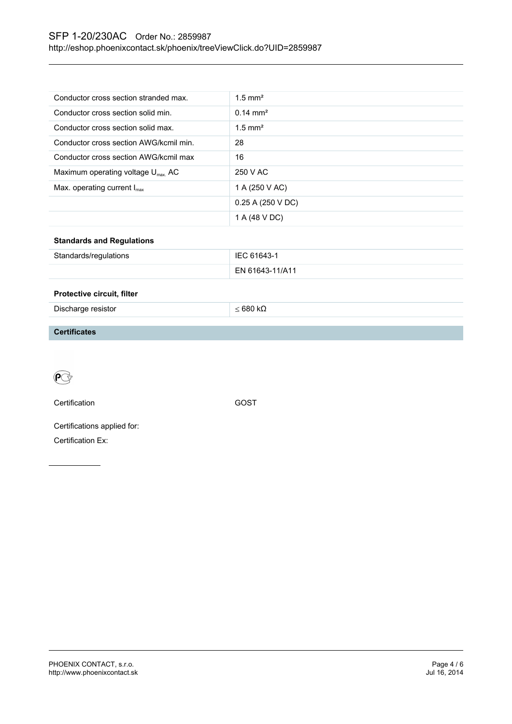# SFP 1-20/230AC Order No.: 2859987 <http://eshop.phoenixcontact.sk/phoenix/treeViewClick.do?UID=2859987>

| Conductor cross section stranded max.         | $1.5$ mm <sup>2</sup> |
|-----------------------------------------------|-----------------------|
| Conductor cross section solid min.            | $0.14 \text{ mm}^2$   |
| Conductor cross section solid max.            | $1.5$ mm <sup>2</sup> |
| Conductor cross section AWG/kcmil min.        | 28                    |
| Conductor cross section AWG/kcmil max         | 16                    |
| Maximum operating voltage $U_{\text{max}}$ AC | 250 V AC              |
| Max. operating current $I_{\text{max}}$       | 1 A (250 V AC)        |
|                                               | $0.25$ A (250 V DC)   |
|                                               | 1 A (48 V DC)         |

# **Standards and Regulations**

| Standards/regulations | IEC 61643-1     |
|-----------------------|-----------------|
|                       | EN 61643-11/A11 |

#### **Protective circuit, filter**

| Discharge resistor | -680 kL |
|--------------------|---------|
|--------------------|---------|

### **Certificates**



Certification Control Control Control Control Control Control Control Control Control Control Control Control Control Control Control Control Control Control Control Control Control Control Control Control Control Control

Certifications applied for: Certification Ex: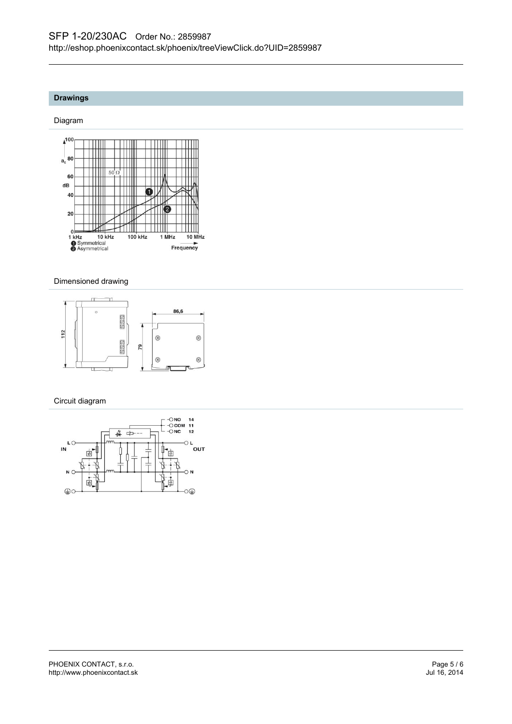# **Drawings**

#### Diagram



### Dimensioned drawing



### Circuit diagram